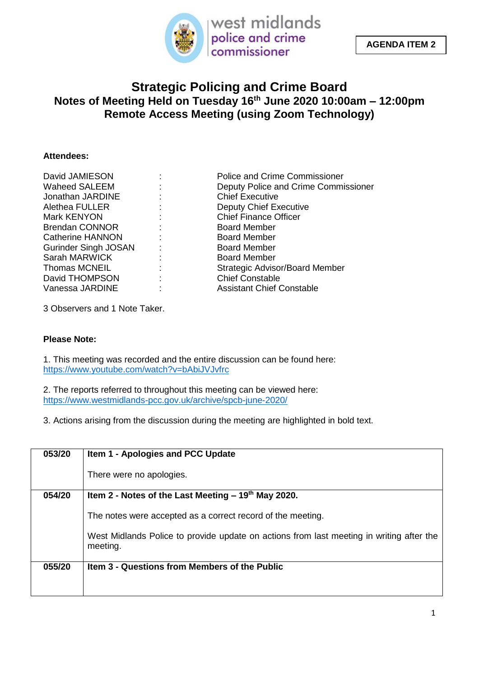

## **Strategic Policing and Crime Board Notes of Meeting Held on Tuesday 16th June 2020 10:00am – 12:00pm Remote Access Meeting (using Zoom Technology)**

## **Attendees:**

Jonathan JARDINE : Chief Executive Alethea FULLER : Deputy Chief Executive Mark KENYON : Chief Finance Officer Brendan CONNOR : Board Member Catherine HANNON : Board Member Gurinder Singh JOSAN : Board Member Sarah MARWICK : Sarah MARWICK : Board Member David THOMPSON : Chief Constable Vanessa JARDINE : Assistant Chief Constable

David JAMIESON : Police and Crime Commissioner Waheed SALEEM : Deputy Police and Crime Commissioner Thomas MCNEIL : Strategic Advisor/Board Member

3 Observers and 1 Note Taker.

## **Please Note:**

1. This meeting was recorded and the entire discussion can be found here: <https://www.youtube.com/watch?v=bAbiJVJvfrc>

2. The reports referred to throughout this meeting can be viewed here: <https://www.westmidlands-pcc.gov.uk/archive/spcb-june-2020/>

3. Actions arising from the discussion during the meeting are highlighted in bold text.

| 053/20 | Item 1 - Apologies and PCC Update                                                                    |
|--------|------------------------------------------------------------------------------------------------------|
|        | There were no apologies.                                                                             |
| 054/20 | Item 2 - Notes of the Last Meeting $-19th$ May 2020.                                                 |
|        | The notes were accepted as a correct record of the meeting.                                          |
|        | West Midlands Police to provide update on actions from last meeting in writing after the<br>meeting. |
| 055/20 | Item 3 - Questions from Members of the Public                                                        |
|        |                                                                                                      |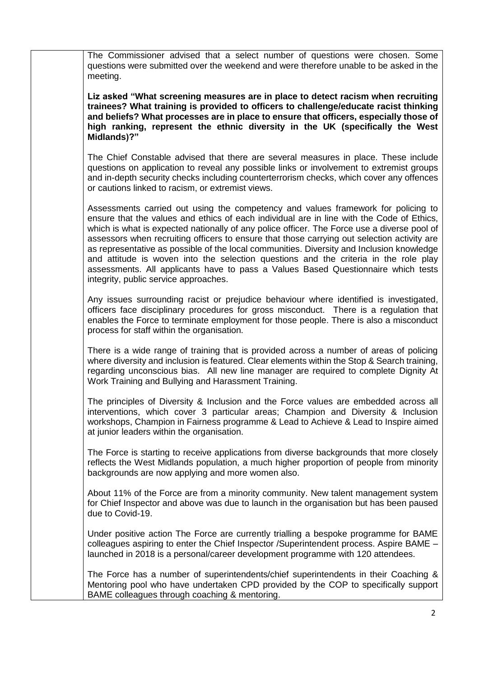The Commissioner advised that a select number of questions were chosen. Some questions were submitted over the weekend and were therefore unable to be asked in the meeting.

**Liz asked "What screening measures are in place to detect racism when recruiting trainees? What training is provided to officers to challenge/educate racist thinking and beliefs? What processes are in place to ensure that officers, especially those of high ranking, represent the ethnic diversity in the UK (specifically the West Midlands)?"**

The Chief Constable advised that there are several measures in place. These include questions on application to reveal any possible links or involvement to extremist groups and in-depth security checks including counterterrorism checks, which cover any offences or cautions linked to racism, or extremist views.

Assessments carried out using the competency and values framework for policing to ensure that the values and ethics of each individual are in line with the Code of Ethics, which is what is expected nationally of any police officer. The Force use a diverse pool of assessors when recruiting officers to ensure that those carrying out selection activity are as representative as possible of the local communities. Diversity and Inclusion knowledge and attitude is woven into the selection questions and the criteria in the role play assessments. All applicants have to pass a Values Based Questionnaire which tests integrity, public service approaches.

Any issues surrounding racist or prejudice behaviour where identified is investigated, officers face disciplinary procedures for gross misconduct. There is a regulation that enables the Force to terminate employment for those people. There is also a misconduct process for staff within the organisation.

There is a wide range of training that is provided across a number of areas of policing where diversity and inclusion is featured. Clear elements within the Stop & Search training, regarding unconscious bias. All new line manager are required to complete Dignity At Work Training and Bullying and Harassment Training.

The principles of Diversity & Inclusion and the Force values are embedded across all interventions, which cover 3 particular areas; Champion and Diversity & Inclusion workshops, Champion in Fairness programme & Lead to Achieve & Lead to Inspire aimed at junior leaders within the organisation.

The Force is starting to receive applications from diverse backgrounds that more closely reflects the West Midlands population, a much higher proportion of people from minority backgrounds are now applying and more women also.

About 11% of the Force are from a minority community. New talent management system for Chief Inspector and above was due to launch in the organisation but has been paused due to Covid-19.

Under positive action The Force are currently trialling a bespoke programme for BAME colleagues aspiring to enter the Chief Inspector /Superintendent process. Aspire BAME – launched in 2018 is a personal/career development programme with 120 attendees.

The Force has a number of superintendents/chief superintendents in their Coaching & Mentoring pool who have undertaken CPD provided by the COP to specifically support BAME colleagues through coaching & mentoring.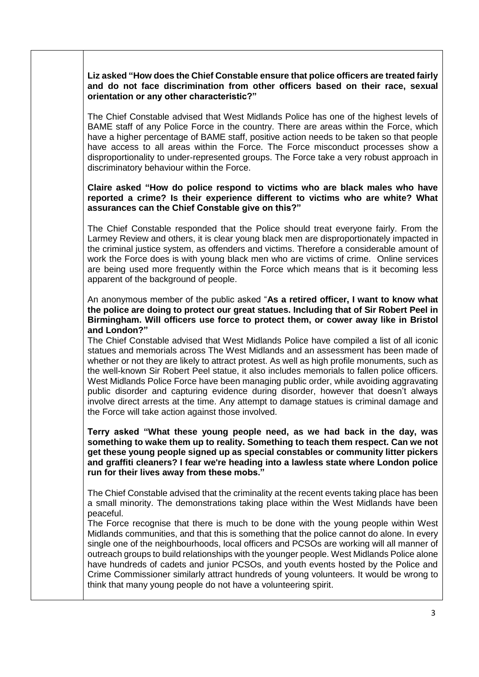**Liz asked "How does the Chief Constable ensure that police officers are treated fairly and do not face discrimination from other officers based on their race, sexual orientation or any other characteristic?"**

The Chief Constable advised that West Midlands Police has one of the highest levels of BAME staff of any Police Force in the country. There are areas within the Force, which have a higher percentage of BAME staff, positive action needs to be taken so that people have access to all areas within the Force. The Force misconduct processes show a disproportionality to under-represented groups. The Force take a very robust approach in discriminatory behaviour within the Force.

## **Claire asked "How do police respond to victims who are black males who have reported a crime? Is their experience different to victims who are white? What assurances can the Chief Constable give on this?"**

The Chief Constable responded that the Police should treat everyone fairly. From the Larmey Review and others, it is clear young black men are disproportionately impacted in the criminal justice system, as offenders and victims. Therefore a considerable amount of work the Force does is with young black men who are victims of crime. Online services are being used more frequently within the Force which means that is it becoming less apparent of the background of people.

An anonymous member of the public asked "**As a retired officer, I want to know what the police are doing to protect our great statues. Including that of Sir Robert Peel in Birmingham. Will officers use force to protect them, or cower away like in Bristol and London?"**

The Chief Constable advised that West Midlands Police have compiled a list of all iconic statues and memorials across The West Midlands and an assessment has been made of whether or not they are likely to attract protest. As well as high profile monuments, such as the well-known Sir Robert Peel statue, it also includes memorials to fallen police officers. West Midlands Police Force have been managing public order, while avoiding aggravating public disorder and capturing evidence during disorder, however that doesn't always involve direct arrests at the time. Any attempt to damage statues is criminal damage and the Force will take action against those involved.

**Terry asked "What these young people need, as we had back in the day, was something to wake them up to reality. Something to teach them respect. Can we not get these young people signed up as special constables or community litter pickers and graffiti cleaners? I fear we're heading into a lawless state where London police run for their lives away from these mobs."**

The Chief Constable advised that the criminality at the recent events taking place has been a small minority. The demonstrations taking place within the West Midlands have been peaceful.

The Force recognise that there is much to be done with the young people within West Midlands communities, and that this is something that the police cannot do alone. In every single one of the neighbourhoods, local officers and PCSOs are working will all manner of outreach groups to build relationships with the younger people. West Midlands Police alone have hundreds of cadets and junior PCSOs, and youth events hosted by the Police and Crime Commissioner similarly attract hundreds of young volunteers. It would be wrong to think that many young people do not have a volunteering spirit.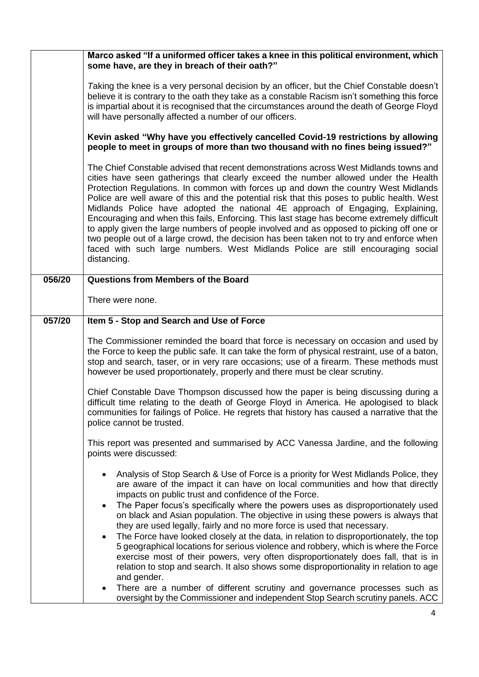|        | Marco asked "If a uniformed officer takes a knee in this political environment, which<br>some have, are they in breach of their oath?"                                                                                                                                                                                                                                                                                                                                                                                                                                                                                                                                                                                                                                                                                                                                                   |
|--------|------------------------------------------------------------------------------------------------------------------------------------------------------------------------------------------------------------------------------------------------------------------------------------------------------------------------------------------------------------------------------------------------------------------------------------------------------------------------------------------------------------------------------------------------------------------------------------------------------------------------------------------------------------------------------------------------------------------------------------------------------------------------------------------------------------------------------------------------------------------------------------------|
|        | Taking the knee is a very personal decision by an officer, but the Chief Constable doesn't<br>believe it is contrary to the oath they take as a constable Racism isn't something this force<br>is impartial about it is recognised that the circumstances around the death of George Floyd<br>will have personally affected a number of our officers.                                                                                                                                                                                                                                                                                                                                                                                                                                                                                                                                    |
|        | Kevin asked "Why have you effectively cancelled Covid-19 restrictions by allowing<br>people to meet in groups of more than two thousand with no fines being issued?"                                                                                                                                                                                                                                                                                                                                                                                                                                                                                                                                                                                                                                                                                                                     |
|        | The Chief Constable advised that recent demonstrations across West Midlands towns and<br>cities have seen gatherings that clearly exceed the number allowed under the Health<br>Protection Regulations. In common with forces up and down the country West Midlands<br>Police are well aware of this and the potential risk that this poses to public health. West<br>Midlands Police have adopted the national 4E approach of Engaging, Explaining,<br>Encouraging and when this fails, Enforcing. This last stage has become extremely difficult<br>to apply given the large numbers of people involved and as opposed to picking off one or<br>two people out of a large crowd, the decision has been taken not to try and enforce when<br>faced with such large numbers. West Midlands Police are still encouraging social<br>distancing.                                            |
| 056/20 | Questions from Members of the Board                                                                                                                                                                                                                                                                                                                                                                                                                                                                                                                                                                                                                                                                                                                                                                                                                                                      |
|        | There were none.                                                                                                                                                                                                                                                                                                                                                                                                                                                                                                                                                                                                                                                                                                                                                                                                                                                                         |
| 057/20 | Item 5 - Stop and Search and Use of Force                                                                                                                                                                                                                                                                                                                                                                                                                                                                                                                                                                                                                                                                                                                                                                                                                                                |
|        | The Commissioner reminded the board that force is necessary on occasion and used by<br>the Force to keep the public safe. It can take the form of physical restraint, use of a baton,<br>stop and search, taser, or in very rare occasions; use of a firearm. These methods must<br>however be used proportionately, properly and there must be clear scrutiny.                                                                                                                                                                                                                                                                                                                                                                                                                                                                                                                          |
|        | Chief Constable Dave Thompson discussed how the paper is being discussing during a<br>difficult time relating to the death of George Floyd in America. He apologised to black<br>communities for failings of Police. He regrets that history has caused a narrative that the<br>police cannot be trusted.                                                                                                                                                                                                                                                                                                                                                                                                                                                                                                                                                                                |
|        | This report was presented and summarised by ACC Vanessa Jardine, and the following<br>points were discussed:                                                                                                                                                                                                                                                                                                                                                                                                                                                                                                                                                                                                                                                                                                                                                                             |
|        | Analysis of Stop Search & Use of Force is a priority for West Midlands Police, they<br>are aware of the impact it can have on local communities and how that directly<br>impacts on public trust and confidence of the Force.<br>The Paper focus's specifically where the powers uses as disproportionately used<br>$\bullet$<br>on black and Asian population. The objective in using these powers is always that<br>they are used legally, fairly and no more force is used that necessary.<br>The Force have looked closely at the data, in relation to disproportionately, the top<br>$\bullet$<br>5 geographical locations for serious violence and robbery, which is where the Force<br>exercise most of their powers, very often disproportionately does fall, that is in<br>relation to stop and search. It also shows some disproportionality in relation to age<br>and gender. |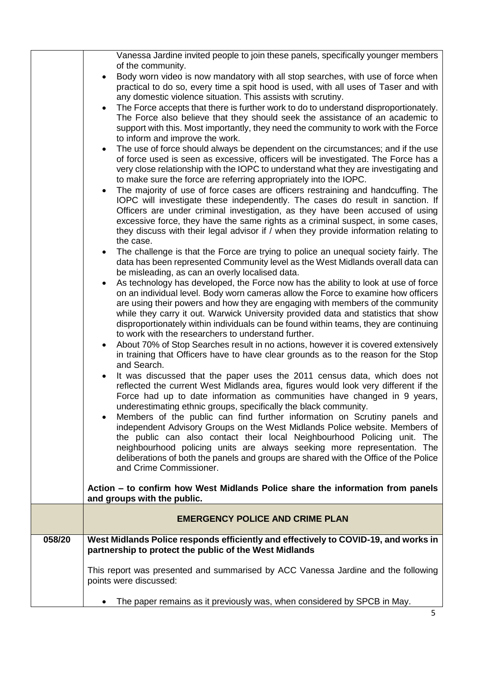|        | Vanessa Jardine invited people to join these panels, specifically younger members                                                                                                                                                                                                                                                                                                                                                                                                                                              |
|--------|--------------------------------------------------------------------------------------------------------------------------------------------------------------------------------------------------------------------------------------------------------------------------------------------------------------------------------------------------------------------------------------------------------------------------------------------------------------------------------------------------------------------------------|
|        | of the community.<br>Body worn video is now mandatory with all stop searches, with use of force when<br>practical to do so, every time a spit hood is used, with all uses of Taser and with<br>any domestic violence situation. This assists with scrutiny.                                                                                                                                                                                                                                                                    |
|        | The Force accepts that there is further work to do to understand disproportionately.<br>The Force also believe that they should seek the assistance of an academic to<br>support with this. Most importantly, they need the community to work with the Force                                                                                                                                                                                                                                                                   |
|        | to inform and improve the work.<br>The use of force should always be dependent on the circumstances; and if the use<br>of force used is seen as excessive, officers will be investigated. The Force has a<br>very close relationship with the IOPC to understand what they are investigating and                                                                                                                                                                                                                               |
|        | to make sure the force are referring appropriately into the IOPC.<br>The majority of use of force cases are officers restraining and handcuffing. The<br>$\bullet$<br>IOPC will investigate these independently. The cases do result in sanction. If<br>Officers are under criminal investigation, as they have been accused of using<br>excessive force, they have the same rights as a criminal suspect, in some cases,<br>they discuss with their legal advisor if / when they provide information relating to<br>the case. |
|        | The challenge is that the Force are trying to police an unequal society fairly. The<br>٠<br>data has been represented Community level as the West Midlands overall data can<br>be misleading, as can an overly localised data.                                                                                                                                                                                                                                                                                                 |
|        | As technology has developed, the Force now has the ability to look at use of force<br>on an individual level. Body worn cameras allow the Force to examine how officers<br>are using their powers and how they are engaging with members of the community<br>while they carry it out. Warwick University provided data and statistics that show<br>disproportionately within individuals can be found within teams, they are continuing<br>to work with the researchers to understand further.                                 |
|        | About 70% of Stop Searches result in no actions, however it is covered extensively<br>$\bullet$<br>in training that Officers have to have clear grounds as to the reason for the Stop<br>and Search.                                                                                                                                                                                                                                                                                                                           |
|        | It was discussed that the paper uses the 2011 census data, which does not<br>reflected the current West Midlands area, figures would look very different if the<br>Force had up to date information as communities have changed in 9 years,<br>underestimating ethnic groups, specifically the black community.                                                                                                                                                                                                                |
|        | Members of the public can find further information on Scrutiny panels and<br>independent Advisory Groups on the West Midlands Police website. Members of<br>the public can also contact their local Neighbourhood Policing unit. The<br>neighbourhood policing units are always seeking more representation. The<br>deliberations of both the panels and groups are shared with the Office of the Police<br>and Crime Commissioner.                                                                                            |
|        | Action – to confirm how West Midlands Police share the information from panels<br>and groups with the public.                                                                                                                                                                                                                                                                                                                                                                                                                  |
|        | <b>EMERGENCY POLICE AND CRIME PLAN</b>                                                                                                                                                                                                                                                                                                                                                                                                                                                                                         |
| 058/20 | West Midlands Police responds efficiently and effectively to COVID-19, and works in<br>partnership to protect the public of the West Midlands                                                                                                                                                                                                                                                                                                                                                                                  |
|        | This report was presented and summarised by ACC Vanessa Jardine and the following<br>points were discussed:                                                                                                                                                                                                                                                                                                                                                                                                                    |
|        | The paper remains as it previously was, when considered by SPCB in May.                                                                                                                                                                                                                                                                                                                                                                                                                                                        |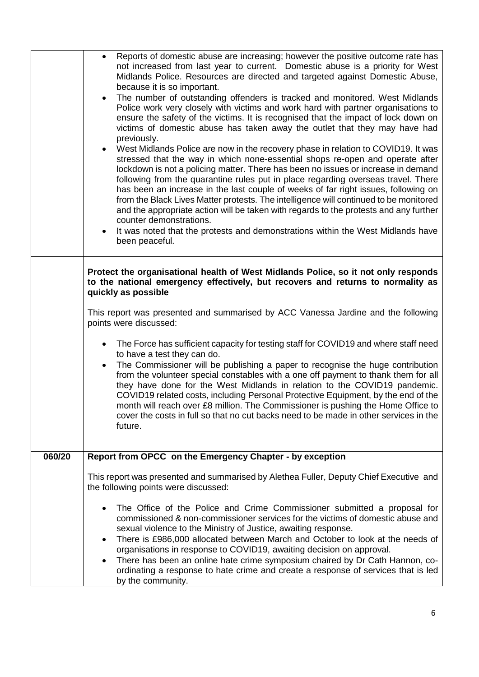|        | Reports of domestic abuse are increasing; however the positive outcome rate has<br>not increased from last year to current. Domestic abuse is a priority for West<br>Midlands Police. Resources are directed and targeted against Domestic Abuse,<br>because it is so important.<br>The number of outstanding offenders is tracked and monitored. West Midlands<br>Police work very closely with victims and work hard with partner organisations to<br>ensure the safety of the victims. It is recognised that the impact of lock down on<br>victims of domestic abuse has taken away the outlet that they may have had<br>previously.<br>• West Midlands Police are now in the recovery phase in relation to COVID19. It was<br>stressed that the way in which none-essential shops re-open and operate after<br>lockdown is not a policing matter. There has been no issues or increase in demand<br>following from the quarantine rules put in place regarding overseas travel. There<br>has been an increase in the last couple of weeks of far right issues, following on<br>from the Black Lives Matter protests. The intelligence will continued to be monitored<br>and the appropriate action will be taken with regards to the protests and any further<br>counter demonstrations.<br>It was noted that the protests and demonstrations within the West Midlands have<br>been peaceful. |
|--------|---------------------------------------------------------------------------------------------------------------------------------------------------------------------------------------------------------------------------------------------------------------------------------------------------------------------------------------------------------------------------------------------------------------------------------------------------------------------------------------------------------------------------------------------------------------------------------------------------------------------------------------------------------------------------------------------------------------------------------------------------------------------------------------------------------------------------------------------------------------------------------------------------------------------------------------------------------------------------------------------------------------------------------------------------------------------------------------------------------------------------------------------------------------------------------------------------------------------------------------------------------------------------------------------------------------------------------------------------------------------------------------------------|
|        | Protect the organisational health of West Midlands Police, so it not only responds<br>to the national emergency effectively, but recovers and returns to normality as<br>quickly as possible<br>This report was presented and summarised by ACC Vanessa Jardine and the following<br>points were discussed:<br>The Force has sufficient capacity for testing staff for COVID19 and where staff need<br>to have a test they can do.<br>The Commissioner will be publishing a paper to recognise the huge contribution<br>from the volunteer special constables with a one off payment to thank them for all<br>they have done for the West Midlands in relation to the COVID19 pandemic.<br>COVID19 related costs, including Personal Protective Equipment, by the end of the<br>month will reach over £8 million. The Commissioner is pushing the Home Office to<br>cover the costs in full so that no cut backs need to be made in other services in the<br>future.                                                                                                                                                                                                                                                                                                                                                                                                                              |
| 060/20 | Report from OPCC on the Emergency Chapter - by exception                                                                                                                                                                                                                                                                                                                                                                                                                                                                                                                                                                                                                                                                                                                                                                                                                                                                                                                                                                                                                                                                                                                                                                                                                                                                                                                                          |
|        | This report was presented and summarised by Alethea Fuller, Deputy Chief Executive and<br>the following points were discussed:<br>The Office of the Police and Crime Commissioner submitted a proposal for<br>commissioned & non-commissioner services for the victims of domestic abuse and<br>sexual violence to the Ministry of Justice, awaiting response.<br>There is £986,000 allocated between March and October to look at the needs of<br>$\bullet$<br>organisations in response to COVID19, awaiting decision on approval.<br>There has been an online hate crime symposium chaired by Dr Cath Hannon, co-<br>ordinating a response to hate crime and create a response of services that is led<br>by the community.                                                                                                                                                                                                                                                                                                                                                                                                                                                                                                                                                                                                                                                                    |